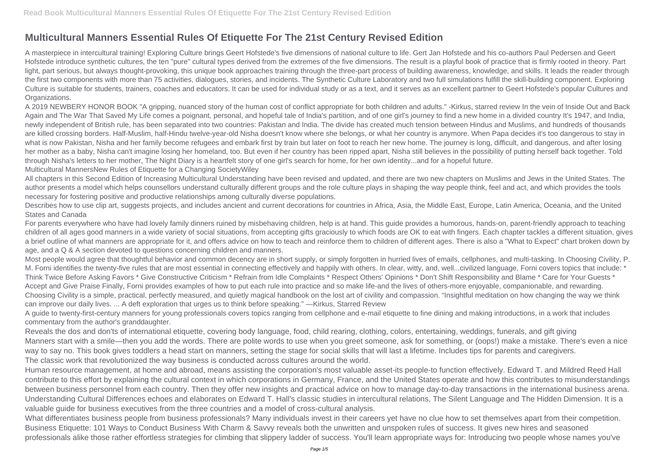## **Multicultural Manners Essential Rules Of Etiquette For The 21st Century Revised Edition**

A masterpiece in intercultural training! Exploring Culture brings Geert Hofstede's five dimensions of national culture to life. Gert Jan Hofstede and his co-authors Paul Pedersen and Geert Hofstede introduce synthetic cultures, the ten "pure" cultural types derived from the extremes of the five dimensions. The result is a playful book of practice that is firmly rooted in theory. Part light, part serious, but always thought-provoking, this unique book approaches training through the three-part process of building awareness, knowledge, and skills. It leads the reader through the first two components with more than 75 activities, dialogues, stories, and incidents. The Synthetic Culture Laboratory and two full simulations fulfill the skill-building component. Exploring Culture is suitable for students, trainers, coaches and educators. It can be used for individual study or as a text, and it serves as an excellent partner to Geert Hofstede's popular Cultures and Organizations.

Describes how to use clip art, suggests projects, and includes ancient and current decorations for countries in Africa, Asia, the Middle East, Europe, Latin America, Oceania, and the United States and Canada

A 2019 NEWBERY HONOR BOOK "A gripping, nuanced story of the human cost of conflict appropriate for both children and adults." -Kirkus, starred review In the vein of Inside Out and Back Again and The War That Saved My Life comes a poignant, personal, and hopeful tale of India's partition, and of one girl's journey to find a new home in a divided country It's 1947, and India, newly independent of British rule, has been separated into two countries: Pakistan and India. The divide has created much tension between Hindus and Muslims, and hundreds of thousands are killed crossing borders. Half-Muslim, half-Hindu twelve-year-old Nisha doesn't know where she belongs, or what her country is anymore. When Papa decides it's too dangerous to stay in what is now Pakistan, Nisha and her family become refugees and embark first by train but later on foot to reach her new home. The journey is long, difficult, and dangerous, and after losing her mother as a baby, Nisha can't imagine losing her homeland, too. But even if her country has been ripped apart, Nisha still believes in the possibility of putting herself back together. Told through Nisha's letters to her mother, The Night Diary is a heartfelt story of one girl's search for home, for her own identity...and for a hopeful future. Multicultural MannersNew Rules of Etiquette for a Changing SocietyWiley

All chapters in this Second Edition of Increasing Multicultural Understanding have been revised and updated, and there are two new chapters on Muslims and Jews in the United States. The author presents a model which helps counsellors understand culturally different groups and the role culture plays in shaping the way people think, feel and act, and which provides the tools necessary for fostering positive and productive relationships among culturally diverse populations.

For parents everywhere who have had lovely family dinners ruined by misbehaving children, help is at hand. This guide provides a humorous, hands-on, parent-friendly approach to teaching children of all ages good manners in a wide variety of social situations, from accepting gifts graciously to which foods are OK to eat with fingers. Each chapter tackles a different situation, gives a brief outline of what manners are appropriate for it, and offers advice on how to teach and reinforce them to children of different ages. There is also a "What to Expect" chart broken down by age, and a Q & A section devoted to questions concerning children and manners.

Most people would agree that thoughtful behavior and common decency are in short supply, or simply forgotten in hurried lives of emails, cellphones, and multi-tasking. In Choosing Civility, P. M. Forni identifies the twenty-five rules that are most essential in connecting effectively and happily with others. In clear, witty, and, well...civilized language, Forni covers topics that include: \* Think Twice Before Asking Favors \* Give Constructive Criticism \* Refrain from Idle Complaints \* Respect Others' Opinions \* Don't Shift Responsibility and Blame \* Care for Your Guests \* Accept and Give Praise Finally, Forni provides examples of how to put each rule into practice and so make life-and the lives of others-more enjoyable, companionable, and rewarding. Choosing Civility is a simple, practical, perfectly measured, and quietly magical handbook on the lost art of civility and compassion. "Insightful meditation on how changing the way we think can improve our daily lives. ... A deft exploration that urges us to think before speaking." —Kirkus, Starred Review

A guide to twenty-first-century manners for young professionals covers topics ranging from cellphone and e-mail etiquette to fine dining and making introductions, in a work that includes commentary from the author's granddaughter.

Reveals the dos and don'ts of international etiquette, covering body language, food, child rearing, clothing, colors, entertaining, weddings, funerals, and gift giving Manners start with a smile—then you add the words. There are polite words to use when you greet someone, ask for something, or (oops!) make a mistake. There's even a nice way to say no. This book gives toddlers a head start on manners, setting the stage for social skills that will last a lifetime. Includes tips for parents and caregivers. The classic work that revolutionized the way business is conducted across cultures around the world.

Human resource management, at home and abroad, means assisting the corporation's most valuable asset-its people-to function effectively. Edward T. and Mildred Reed Hall contribute to this effort by explaining the cultural context in which corporations in Germany, France, and the United States operate and how this contributes to misunderstandings between business personnel from each country. Then they offer new insights and practical advice on how to manage day-to-day transactions in the international business arena. Understanding Cultural Differences echoes and elaborates on Edward T. Hall's classic studies in intercultural relations, The Silent Language and The Hidden Dimension. It is a valuable guide for business executives from the three countries and a model of cross-cultural analysis.

What differentiates business people from business professionals? Many individuals invest in their careers yet have no clue how to set themselves apart from their competition. Business Etiquette: 101 Ways to Conduct Business With Charm & Savvy reveals both the unwritten and unspoken rules of success. It gives new hires and seasoned professionals alike those rather effortless strategies for climbing that slippery ladder of success. You'll learn appropriate ways for: Introducing two people whose names you've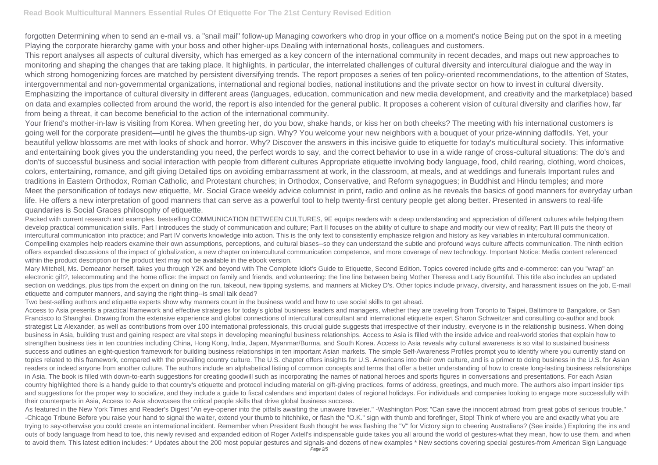forgotten Determining when to send an e-mail vs. a "snail mail" follow-up Managing coworkers who drop in your office on a moment's notice Being put on the spot in a meeting Playing the corporate hierarchy game with your boss and other higher-ups Dealing with international hosts, colleagues and customers.

This report analyses all aspects of cultural diversity, which has emerged as a key concern of the international community in recent decades, and maps out new approaches to monitoring and shaping the changes that are taking place. It highlights, in particular, the interrelated challenges of cultural diversity and intercultural dialogue and the way in which strong homogenizing forces are matched by persistent diversifying trends. The report proposes a series of ten policy-oriented recommendations, to the attention of States, intergovernmental and non-governmental organizations, international and regional bodies, national institutions and the private sector on how to invest in cultural diversity. Emphasizing the importance of cultural diversity in different areas (languages, education, communication and new media development, and creativity and the marketplace) based on data and examples collected from around the world, the report is also intended for the general public. It proposes a coherent vision of cultural diversity and clarifies how, far from being a threat, it can become beneficial to the action of the international community.

Packed with current research and examples, bestselling COMMUNICATION BETWEEN CULTURES, 9E equips readers with a deep understanding and appreciation of different cultures while helping them develop practical communication skills. Part I introduces the study of communication and culture; Part II focuses on the ability of culture to shape and modify our view of reality; Part III puts the theory of intercultural communication into practice; and Part IV converts knowledge into action. This is the only text to consistently emphasize religion and history as key variables in intercultural communication. Compelling examples help readers examine their own assumptions, perceptions, and cultural biases--so they can understand the subtle and profound ways culture affects communication. The ninth edition offers expanded discussions of the impact of globalization, a new chapter on intercultural communication competence, and more coverage of new technology. Important Notice: Media content referenced within the product description or the product text may not be available in the ebook version.

Your friend's mother-in-law is visiting from Korea. When greeting her, do you bow, shake hands, or kiss her on both cheeks? The meeting with his international customers is going well for the corporate president—until he gives the thumbs-up sign. Why? You welcome your new neighbors with a bouquet of your prize-winning daffodils. Yet, your beautiful yellow blossoms are met with looks of shock and horror. Why? Discover the answers in this incisive guide to etiquette for today's multicultural society. This informative and entertaining book gives you the understanding you need, the perfect words to say, and the correct behavior to use in a wide range of cross-cultural situations: The do's and don'ts of successful business and social interaction with people from different cultures Appropriate etiquette involving body language, food, child rearing, clothing, word choices, colors, entertaining, romance, and gift giving Detailed tips on avoiding embarrassment at work, in the classroom, at meals, and at weddings and funerals Important rules and traditions in Eastern Orthodox, Roman Catholic, and Protestant churches; in Orthodox, Conservative, and Reform synagogues; in Buddhist and Hindu temples; and more Meet the personification of todays new etiquette, Mr. Social Grace weekly advice columnist in print, radio and online as he reveals the basics of good manners for everyday urban life. He offers a new interpretation of good manners that can serve as a powerful tool to help twenty-first century people get along better. Presented in answers to real-life quandaries is Social Graces philosophy of etiquette.

Mary Mitchell, Ms. Demeanor herself, takes you through Y2K and beyond with The Complete Idiot's Guide to Etiquette, Second Edition. Topics covered include gifts and e-commerce: can you "wrap" an electronic gift?, telecommuting and the home office: the impact on family and friends, and volunteering: the fine line between being Mother Theresa and Lady Bountiful. This title also includes an updated section on weddings, plus tips from the expert on dining on the run, takeout, new tipping systems, and manners at Mickey D's. Other topics include privacy, diversity, and harassment issues on the job, E-mail etiquette and computer manners, and saying the right thing--is small talk dead?

Two best-selling authors and etiquette experts show why manners count in the business world and how to use social skills to get ahead.

Access to Asia presents a practical framework and effective strategies for today's global business leaders and managers, whether they are traveling from Toronto to Taipei, Baltimore to Bangalore, or San Francisco to Shanghai. Drawing from the extensive experience and global connections of intercultural consultant and international etiquette expert Sharon Schweitzer and consulting co-author and book strategist Liz Alexander, as well as contributions from over 100 international professionals, this crucial guide suggests that irrespective of their industry, everyone is in the relationship business. When doing business in Asia, building trust and gaining respect are vital steps in developing meaningful business relationships. Access to Asia is filled with the inside advice and real-world stories that explain how to strengthen business ties in ten countries including China, Hong Kong, India, Japan, Myanmar/Burma, and South Korea. Access to Asia reveals why cultural awareness is so vital to sustained business success and outlines an eight-question framework for building business relationships in ten important Asian markets. The simple Self-Awareness Profiles prompt you to identify where you currently stand on topics related to this framework, compared with the prevailing country culture. The U.S. chapter offers insights for U.S. Americans into their own culture, and is a primer to doing business in the U.S. for Asian readers or indeed anyone from another culture. The authors include an alphabetical listing of common concepts and terms that offer a better understanding of how to create long-lasting business relationships in Asia. The book is filled with down-to-earth suggestions for creating goodwill such as incorporating the names of national heroes and sports figures in conversations and presentations. For each Asian country highlighted there is a handy guide to that country's etiquette and protocol including material on gift-giving practices, forms of address, greetings, and much more. The authors also impart insider tips and suggestions for the proper way to socialize, and they include a guide to fiscal calendars and important dates of regional holidays. For individuals and companies looking to engage more successfully with their counterparts in Asia, Access to Asia showcases the critical people skills that drive global business success.

As featured in the New York Times and Reader's Digest "An eye-opener into the pitfalls awaiting the unaware traveler." -Washington Post "Can save the innocent abroad from great gobs of serious trouble." -Chicago Tribune Before you raise your hand to signal the waiter, extend your thumb to hitchhike, or flash the "O.K." sign with thumb and forefinger, Stop! Think of where you are and exactly what you are trying to say-otherwise you could create an international incident. Remember when President Bush thought he was flashing the "V" for Victory sign to cheering Australians? (See inside.) Exploring the ins and outs of body language from head to toe, this newly revised and expanded edition of Roger Axtell's indispensable guide takes you all around the world of gestures-what they mean, how to use them, and when to avoid them. This latest edition includes: \* Updates about the 200 most popular gestures and signals-and dozens of new examples \* New sections covering special gestures-from American Sign Language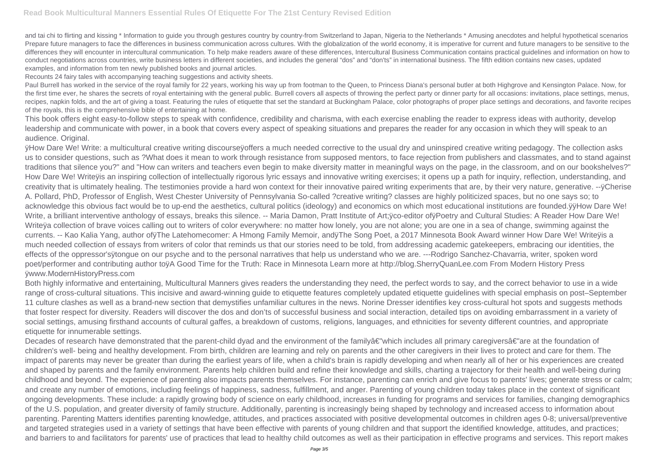and tai chi to flirting and kissing \* Information to quide you through gestures country by country-from Switzerland to Japan. Nigeria to the Netherlands \* Amusing anecdotes and helpful hypothetical scenarios Prepare future managers to face the differences in business communication across cultures. With the globalization of the world economy, it is imperative for current and future managers to be sensitive to the differences they will encounter in intercultural communication. To help make readers aware of these differences, Intercultural Business Communication contains practical guidelines and information on how to conduct negotiations across countries, write business letters in different societies, and includes the general "dos" and "don'ts" in international business. The fifth edition contains new cases, updated examples, and information from ten newly published books and journal articles.

Recounts 24 fairy tales with accompanying teaching suggestions and activity sheets.

Paul Burrell has worked in the service of the royal family for 22 years, working his way up from footman to the Queen, to Princess Diana's personal butler at both Highgrove and Kensington Palace. Now, for the first time ever, he shares the secrets of royal entertaining with the general public. Burrell covers all aspects of throwing the perfect party or dinner party for all occasions: invitations, place settings, menus, recipes, napkin folds, and the art of giving a toast. Featuring the rules of etiquette that set the standard at Buckingham Palace, color photographs of proper place settings and decorations, and favorite recipes of the royals, this is the comprehensive bible of entertaining at home.

This book offers eight easy-to-follow steps to speak with confidence, credibility and charisma, with each exercise enabling the reader to express ideas with authority, develop leadership and communicate with power, in a book that covers every aspect of speaking situations and prepares the reader for any occasion in which they will speak to an audience. Original.

ÿHow Dare We! Write: a multicultural creative writing discourseÿoffers a much needed corrective to the usual dry and uninspired creative writing pedagogy. The collection asks us to consider questions, such as ?What does it mean to work through resistance from supposed mentors, to face rejection from publishers and classmates, and to stand against traditions that silence you?" and "How can writers and teachers even begin to make diversity matter in meaningful ways on the page, in the classroom, and on our bookshelves?" How Dare We! Writey is an inspiring collection of intellectually rigorous lyric essays and innovative writing exercises; it opens up a path for inquiry, reflection, understanding, and creativity that is ultimately healing. The testimonies provide a hard won context for their innovative paired writing experiments that are, by their very nature, generative. -- ÿCherise A. Pollard, PhD, Professor of English, West Chester University of Pennsylvania So-called ?creative writing? classes are highly politicized spaces, but no one says so; to acknowledge this obvious fact would be to up-end the aesthetics, cultural politics (ideology) and economics on which most educational institutions are founded.ÿÿHow Dare We! Write, a brilliant interventive anthology of essays, breaks this silence. -- Maria Damon, Pratt Institute of Art;ÿco-editor ofÿPoetry and Cultural Studies: A Reader How Dare We! Writeÿa collection of brave voices calling out to writers of color everywhere: no matter how lonely, you are not alone; you are one in a sea of change, swimming against the currents. -- Kao Kalia Yang, author ofÿThe Latehomecomer: A Hmong Family Memoir, andÿThe Song Poet, a 2017 Minnesota Book Award winner How Dare We! Writeÿis a much needed collection of essays from writers of color that reminds us that our stories need to be told, from addressing academic gatekeepers, embracing our identities, the effects of the oppressor'sÿtongue on our psyche and to the personal narratives that help us understand who we are. ---Rodrigo Sanchez-Chavarria, writer, spoken word poet/performer and contributing author toÿA Good Time for the Truth: Race in Minnesota Learn more at http://blog.SherryQuanLee.com From Modern History Press ÿwww.ModernHistoryPress.com

Decades of research have demonstrated that the parent-child dyad and the environment of the familyâ€"which includes all primary caregiversâ€"are at the foundation of children's well- being and healthy development. From birth, children are learning and rely on parents and the other caregivers in their lives to protect and care for them. The impact of parents may never be greater than during the earliest years of life, when a child's brain is rapidly developing and when nearly all of her or his experiences are created and shaped by parents and the family environment. Parents help children build and refine their knowledge and skills, charting a trajectory for their health and well-being during childhood and beyond. The experience of parenting also impacts parents themselves. For instance, parenting can enrich and give focus to parents' lives; generate stress or calm; and create any number of emotions, including feelings of happiness, sadness, fulfillment, and anger. Parenting of young children today takes place in the context of significant ongoing developments. These include: a rapidly growing body of science on early childhood, increases in funding for programs and services for families, changing demographics of the U.S. population, and greater diversity of family structure. Additionally, parenting is increasingly being shaped by technology and increased access to information about parenting. Parenting Matters identifies parenting knowledge, attitudes, and practices associated with positive developmental outcomes in children ages 0-8; universal/preventive and targeted strategies used in a variety of settings that have been effective with parents of young children and that support the identified knowledge, attitudes, and practices; and barriers to and facilitators for parents' use of practices that lead to healthy child outcomes as well as their participation in effective programs and services. This report makes

Both highly informative and entertaining, Multicultural Manners gives readers the understanding they need, the perfect words to say, and the correct behavior to use in a wide range of cross-cultural situations. This incisive and award-winning guide to etiquette features completely updated etiquette guidelines with special emphasis on post–September 11 culture clashes as well as a brand-new section that demystifies unfamiliar cultures in the news. Norine Dresser identifies key cross-cultural hot spots and suggests methods that foster respect for diversity. Readers will discover the dos and don'ts of successful business and social interaction, detailed tips on avoiding embarrassment in a variety of social settings, amusing firsthand accounts of cultural gaffes, a breakdown of customs, religions, languages, and ethnicities for seventy different countries, and appropriate etiquette for innumerable settings.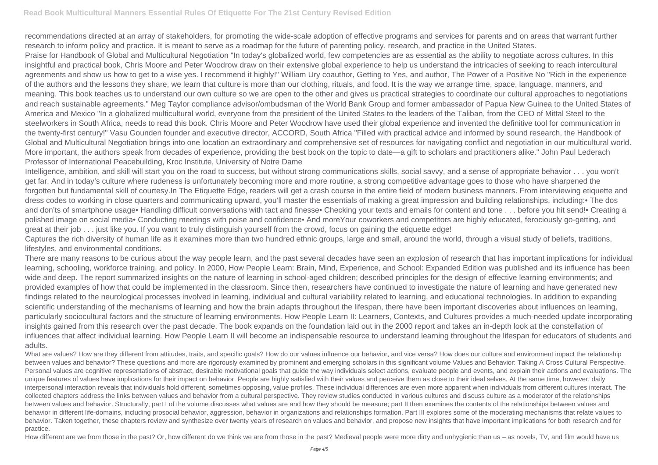recommendations directed at an array of stakeholders, for promoting the wide-scale adoption of effective programs and services for parents and on areas that warrant further research to inform policy and practice. It is meant to serve as a roadmap for the future of parenting policy, research, and practice in the United States. Praise for Handbook of Global and Multicultural Negotiation "In today's globalized world, few competencies are as essential as the ability to negotiate across cultures. In this insightful and practical book, Chris Moore and Peter Woodrow draw on their extensive global experience to help us understand the intricacies of seeking to reach intercultural agreements and show us how to get to a wise yes. I recommend it highly!" William Ury coauthor, Getting to Yes, and author, The Power of a Positive No "Rich in the experience of the authors and the lessons they share, we learn that culture is more than our clothing, rituals, and food. It is the way we arrange time, space, language, manners, and meaning. This book teaches us to understand our own culture so we are open to the other and gives us practical strategies to coordinate our cultural approaches to negotiations and reach sustainable agreements." Meg Taylor compliance advisor/ombudsman of the World Bank Group and former ambassador of Papua New Guinea to the United States of America and Mexico "In a globalized multicultural world, everyone from the president of the United States to the leaders of the Taliban, from the CEO of Mittal Steel to the steelworkers in South Africa, needs to read this book. Chris Moore and Peter Woodrow have used their global experience and invented the definitive tool for communication in the twenty-first century!" Vasu Gounden founder and executive director, ACCORD, South Africa "Filled with practical advice and informed by sound research, the Handbook of Global and Multicultural Negotiation brings into one location an extraordinary and comprehensive set of resources for navigating conflict and negotiation in our multicultural world. More important, the authors speak from decades of experience, providing the best book on the topic to date—a gift to scholars and practitioners alike." John Paul Lederach Professor of International Peacebuilding, Kroc Institute, University of Notre Dame

Intelligence, ambition, and skill will start you on the road to success, but without strong communications skills, social savvy, and a sense of appropriate behavior . . . you won't get far. And in today's culture where rudeness is unfortunately becoming more and more routine, a strong competitive advantage goes to those who have sharpened the forgotten but fundamental skill of courtesy.In The Etiquette Edge, readers will get a crash course in the entire field of modern business manners. From interviewing etiquette and dress codes to working in close quarters and communicating upward, you'll master the essentials of making a great impression and building relationships, including:• The dos and don'ts of smartphone usage• Handling difficult conversations with tact and finesse• Checking your texts and emails for content and tone . . . before you hit send!• Creating a polished image on social media• Conducting meetings with poise and confidence• And moreYour coworkers and competitors are highly educated, ferociously go-getting, and great at their job . . . just like you. If you want to truly distinguish yourself from the crowd, focus on gaining the etiquette edge!

Captures the rich diversity of human life as it examines more than two hundred ethnic groups, large and small, around the world, through a visual study of beliefs, traditions, lifestyles, and environmental conditions.

There are many reasons to be curious about the way people learn, and the past several decades have seen an explosion of research that has important implications for individual learning, schooling, workforce training, and policy. In 2000, How People Learn: Brain, Mind, Experience, and School: Expanded Edition was published and its influence has been wide and deep. The report summarized insights on the nature of learning in school-aged children; described principles for the design of effective learning environments; and provided examples of how that could be implemented in the classroom. Since then, researchers have continued to investigate the nature of learning and have generated new findings related to the neurological processes involved in learning, individual and cultural variability related to learning, and educational technologies. In addition to expanding scientific understanding of the mechanisms of learning and how the brain adapts throughout the lifespan, there have been important discoveries about influences on learning, particularly sociocultural factors and the structure of learning environments. How People Learn II: Learners, Contexts, and Cultures provides a much-needed update incorporating insights gained from this research over the past decade. The book expands on the foundation laid out in the 2000 report and takes an in-depth look at the constellation of influences that affect individual learning. How People Learn II will become an indispensable resource to understand learning throughout the lifespan for educators of students and adults.

What are values? How are they different from attitudes, traits, and specific goals? How do our values influence our behavior, and vice versa? How does our culture and environment impact the relationship between values and behavior? These questions and more are rigorously examined by prominent and emerging scholars in this significant volume Values and Behavior: Taking A Cross Cultural Perspective. Personal values are cognitive representations of abstract, desirable motivational goals that guide the way individuals select actions, evaluate people and events, and explain their actions and evaluations. The unique features of values have implications for their impact on behavior. People are highly satisfied with their values and perceive them as close to their ideal selves. At the same time, however, daily interpersonal interaction reveals that individuals hold different, sometimes opposing, value profiles. These individual differences are even more apparent when individuals from different cultures interact. The collected chapters address the links between values and behavior from a cultural perspective. They review studies conducted in various cultures and discuss culture as a moderator of the relationships between values and behavior. Structurally, part I of the volume discusses what values are and how they should be measure; part II then examines the contents of the relationships between values and behavior in different life-domains, including prosocial behavior, aggression, behavior in organizations and relationships formation. Part III explores some of the moderating mechanisms that relate values to behavior. Taken together, these chapters review and synthesize over twenty years of research on values and behavior, and propose new insights that have important implications for both research and for practice.

How different are we from those in the past? Or, how different do we think we are from those in the past? Medieval people were more dirty and unhygienic than us – as novels, TV, and film would have us